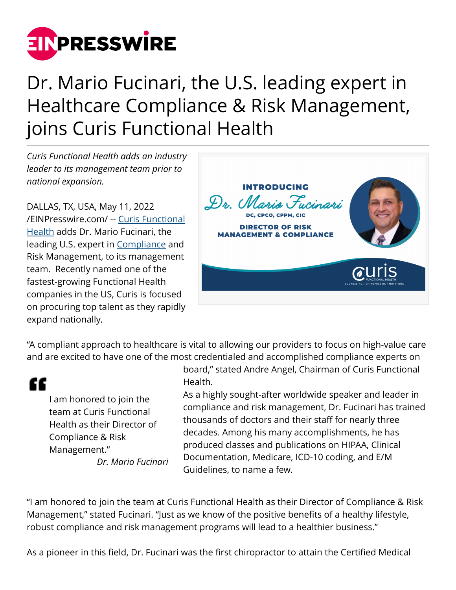

## Dr. Mario Fucinari, the U.S. leading expert in Healthcare Compliance & Risk Management, joins Curis Functional Health

*Curis Functional Health adds an industry leader to its management team prior to national expansion.*

DALLAS, TX, USA, May 11, 2022 [/EINPresswire.com/](http://www.einpresswire.com) -- [Curis Functional](http://www.gocuris.com) [Health](http://www.gocuris.com) adds Dr. Mario Fucinari, the leading U.S. expert in [Compliance](http://www.gocuris.com) and Risk Management, to its management team. Recently named one of the fastest-growing Functional Health companies in the US, Curis is focused on procuring top talent as they rapidly expand nationally.



"A compliant approach to healthcare is vital to allowing our providers to focus on high-value care and are excited to have one of the most credentialed and accomplished compliance experts on

## ££

I am honored to join the team at Curis Functional Health as their Director of Compliance & Risk Management."

*Dr. Mario Fucinari*

board," stated Andre Angel, Chairman of Curis Functional Health.

As a highly sought-after worldwide speaker and leader in compliance and risk management, Dr. Fucinari has trained thousands of doctors and their staff for nearly three decades. Among his many accomplishments, he has produced classes and publications on HIPAA, Clinical Documentation, Medicare, ICD-10 coding, and E/M Guidelines, to name a few.

"I am honored to join the team at Curis Functional Health as their Director of Compliance & Risk Management," stated Fucinari. "Just as we know of the positive benefits of a healthy lifestyle, robust compliance and risk management programs will lead to a healthier business."

As a pioneer in this field, Dr. Fucinari was the first chiropractor to attain the Certified Medical